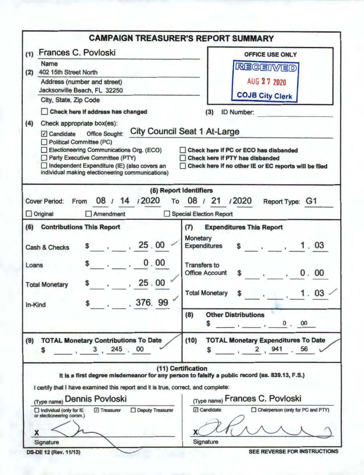|                                                                                                                                                                                                                                                                                                                             | <b>CAMPAIGN TREASURER'S REPORT SUMMARY</b>                                                                                                                                                                                                                                                                                      |  |  |  |
|-----------------------------------------------------------------------------------------------------------------------------------------------------------------------------------------------------------------------------------------------------------------------------------------------------------------------------|---------------------------------------------------------------------------------------------------------------------------------------------------------------------------------------------------------------------------------------------------------------------------------------------------------------------------------|--|--|--|
| Frances C. Povloski<br>(1)                                                                                                                                                                                                                                                                                                  | <b>OFFICE USE ONLY</b><br><b>REGEIVED</b>                                                                                                                                                                                                                                                                                       |  |  |  |
| Name<br>402 15th Street North<br>(2)                                                                                                                                                                                                                                                                                        |                                                                                                                                                                                                                                                                                                                                 |  |  |  |
| Address (number and street)<br>Jacksonville Beach, FL 32250                                                                                                                                                                                                                                                                 | AUG 27 2020<br><b>COJB City Clerk</b>                                                                                                                                                                                                                                                                                           |  |  |  |
| City, State, Zip Code                                                                                                                                                                                                                                                                                                       |                                                                                                                                                                                                                                                                                                                                 |  |  |  |
| Check here if address has changed<br>(4)<br>Check appropriate box(es):<br>Candidate Office Sought:<br>Political Committee (PC)<br>Electioneering Communications Org. (ECO)<br>Party Executive Committee (PTY)<br>Independent Expenditure (IE) (also covers an<br>$\Box$<br>individual making electioneering communications) | <b>ID Number:</b><br>(3)<br><b>City Council Seat 1 At-Large</b><br>Check here if PC or ECO has disbanded<br><b>Check here if PTY has disbanded</b><br>Check here if no other IE or EC reports will be filed                                                                                                                     |  |  |  |
| 08 / 14 / 2020<br><b>Cover Period:</b><br>From<br>Amendment<br>$\Box$ Original                                                                                                                                                                                                                                              | (5) Report Identifiers<br>/2020<br>To 08 / 21<br>Report Type: G1<br>Special Election Report                                                                                                                                                                                                                                     |  |  |  |
| <b>Contributions This Report</b><br>(6)<br>\$ , 25.00<br>Cash & Checks<br>0.00<br>Loans<br>, 25.00<br><b>Total Monetary</b><br>$$-.76.99$<br>In-Kind                                                                                                                                                                        | <b>Expenditures This Report</b><br>(7)<br>Monetary<br>\$ 1.03<br><b>Expenditures</b><br><b>Transfers to</b><br>0.00<br><b>Office Account</b><br>$\sim$ $\sim$<br>03<br><b>Total Monetary</b><br>1.<br>\$<br><b>Other Distributions</b><br>(8)<br>$\begin{array}{c} \begin{array}{c} \hline \end{array} & 0.00 \end{array}$<br>S |  |  |  |
| <b>TOTAL Monetary Contributions To Date</b><br>(9)<br>$-3$ , 245 . 00<br>\$                                                                                                                                                                                                                                                 | (10)<br><b>TOTAL Monetary Expenditures To Date</b><br>2, 941<br>56<br>S                                                                                                                                                                                                                                                         |  |  |  |
| I certify that I have examined this report and it is true, correct, and complete:<br>(Type name) Dennis Povloski<br>Deputy Treasurer<br>Individual (only for IE<br>7 Treasurer<br>or electioneering comm.)<br>x<br>Signature                                                                                                | (11) Certification<br>It is a first degree misdemeanor for any person to falsify a public record (ss. 839.13, F.S.)<br>(Type name) Frances C. Povloski<br>□ Candidate<br>Chairperson (only for PC and PTY)<br>Signature<br>SEE REVERSE FOR INSTRUCTIONS                                                                         |  |  |  |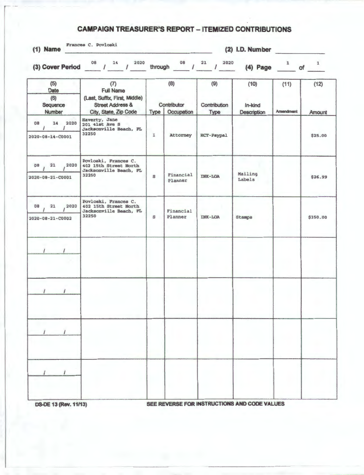## **CAMPAIGN TREASURER'S REPORT - ITEMIZED CONTRIBUTIONS**

| Frances C. Povloski<br>$(1)$ Name        |                                                                                                                  |         |                                  |                             | $(2)$ I.D. Number                            |                                             |                          |
|------------------------------------------|------------------------------------------------------------------------------------------------------------------|---------|----------------------------------|-----------------------------|----------------------------------------------|---------------------------------------------|--------------------------|
|                                          | 2020<br>(3) Cover Period $^{08}$ / $^{14}$ /                                                                     | through | $^{08}$ $/$ $^{21}$              | 2020<br>$\mathcal{I}_-$     | $(4)$ Page                                   | $\mathbf{1}$<br>$\overline{\phantom{a}}$ of | $\overline{\phantom{a}}$ |
| (5)<br>Date<br>(6)<br>Sequence<br>Number | (7)<br><b>Full Name</b><br>(Last, Suffix, First, Middle)<br><b>Street Address &amp;</b><br>City, State, Zip Code | Type    | (8)<br>Contributor<br>Occupation | (9)<br>Contribution<br>Type | (10)<br>In-kind<br>Description               | (11)<br><b>Amendment</b>                    | (12)<br>Amount           |
| 14 2020<br>08<br>2020-08-14-C0001        | Haverty, Jane<br>201 41st Ave S<br>Jacksonville Beach, FL<br>32250                                               | I       | Attorney                         | RCT-Paypal                  |                                              |                                             | \$25.00                  |
| 2020<br>08<br>21<br>2020-08-21-C0001     | Povloski, Frances C.<br>402 15th Street North<br>Jacksonville Beach, FL<br>32250                                 | S       | Financial<br>Planner             | <b>INK-LOA</b>              | Mailing<br>Labels                            |                                             | \$26.99                  |
| 2020<br>08<br>21<br>2020-08-21-C0002     | Povloski, Frances C.<br>402 15th Street North<br>Jacksonville Beach, FL<br>32250                                 | S       | Financial<br>Planner             | <b>INK-LOA</b>              | <b>Stamps</b>                                |                                             | \$350.00                 |
|                                          |                                                                                                                  |         |                                  |                             |                                              |                                             |                          |
| $\prime$<br>$\sqrt{ }$                   |                                                                                                                  |         |                                  |                             |                                              |                                             |                          |
|                                          |                                                                                                                  |         |                                  |                             |                                              |                                             |                          |
|                                          |                                                                                                                  |         |                                  |                             |                                              |                                             |                          |
|                                          |                                                                                                                  |         |                                  |                             | OFF DEVEDOE CAB INCTOURTIONS AND CABE VALUES |                                             |                          |

**DS-DE 13 (Rev. 11/13)** SEE REVERSE FOR INSTRUCTIONS AND CO